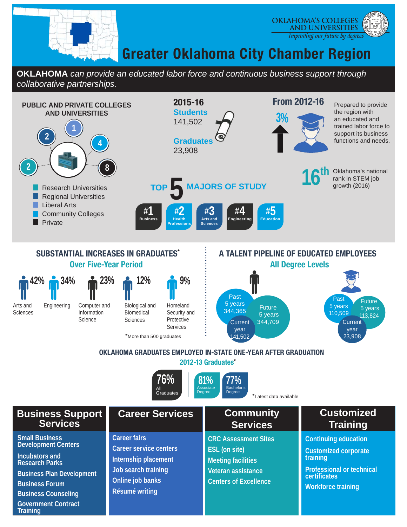

**Business Counseling**

**Government Contract** 

**Training**



## **Greater Oklahoma City Chamber Region**

**OKLAHOMA** *can provide an educated labor force and continuous business support through collaborative partnerships.*